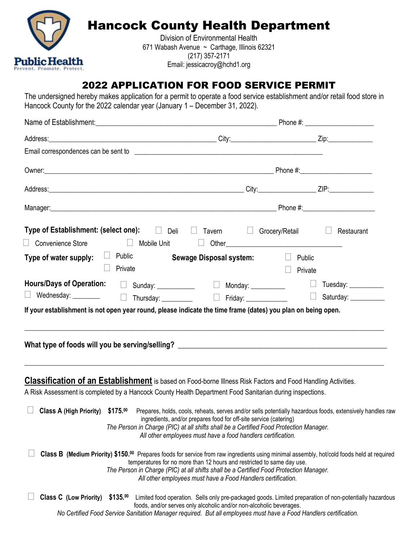

# Hancock County Health Department

Division of Environmental Health 671 Wabash Avenue ~ Carthage, Illinois 62321 (217) 357-2171 Email: jessicacroy@hchd1.org

# 2022 APPLICATION FOR FOOD SERVICE PERMIT

The undersigned hereby makes application for a permit to operate a food service establishment and/or retail food store in Hancock County for the 2022 calendar year (January 1 – December 31, 2022).

| $\Box$ Convenience Store            | $\Box$ Mobile Unit | Type of Establishment: (select one): □ Deli □ Tavern □ Grocery/Retail □                                                                                                                                                                                                                                                                                                        |                   | Restaurant |  |
|-------------------------------------|--------------------|--------------------------------------------------------------------------------------------------------------------------------------------------------------------------------------------------------------------------------------------------------------------------------------------------------------------------------------------------------------------------------|-------------------|------------|--|
| Type of water supply: $\Box$ Public | Private            | Sewage Disposal system: $\Box$                                                                                                                                                                                                                                                                                                                                                 | Public<br>Private |            |  |
|                                     |                    | Hours/Days of Operation: □ Sunday: __________  □ Monday: _________    □ Tuesday: _________<br>□ Wednesday: _________   □ Thursday: _________    □ Friday: ___________    □ Saturday: ___________                                                                                                                                                                               |                   |            |  |
|                                     |                    |                                                                                                                                                                                                                                                                                                                                                                                |                   |            |  |
|                                     |                    | <b>Classification of an Establishment</b> is based on Food-borne Illness Risk Factors and Food Handling Activities.<br>A Risk Assessment is completed by a Hancock County Health Department Food Sanitarian during inspections.                                                                                                                                                |                   |            |  |
| Class A (High Priority) \$175.00    |                    | Prepares, holds, cools, reheats, serves and/or sells potentially hazardous foods, extensively handles raw<br>ingredients, and/or prepares food for off-site service (catering)<br>The Person in Charge (PIC) at all shifts shall be a Certified Food Protection Manager.<br>All other employees must have a food handlers certification.                                       |                   |            |  |
|                                     |                    | Class B (Medium Priority) \$150.00 Prepares foods for service from raw ingredients using minimal assembly, hot/cold foods held at required<br>temperatures for no more than 12 hours and restricted to same day use.<br>The Person in Charge (PIC) at all shifts shall be a Certified Food Protection Manager.<br>All other employees must have a Food Handlers certification. |                   |            |  |
| <b>Class C</b> (Low Priority)       | \$135.00           | Limited food operation. Sells only pre-packaged goods. Limited preparation of non-potentially hazardous<br>foods, and/or serves only alcoholic and/or non-alcoholic beverages.                                                                                                                                                                                                 |                   |            |  |
|                                     |                    | No Certified Food Service Sanitation Manager required. But all employees must have a Food Handlers certification.                                                                                                                                                                                                                                                              |                   |            |  |